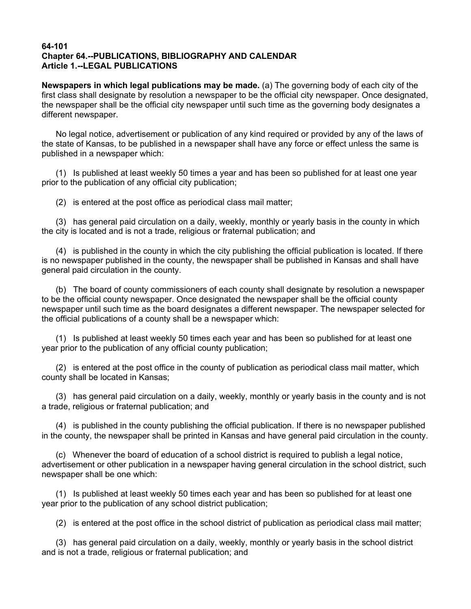## **64-101 Chapter 64.--PUBLICATIONS, BIBLIOGRAPHY AND CALENDAR Article 1.--LEGAL PUBLICATIONS**

**Newspapers in which legal publications may be made.** (a) The governing body of each city of the first class shall designate by resolution a newspaper to be the official city newspaper. Once designated, the newspaper shall be the official city newspaper until such time as the governing body designates a different newspaper.

 No legal notice, advertisement or publication of any kind required or provided by any of the laws of the state of Kansas, to be published in a newspaper shall have any force or effect unless the same is published in a newspaper which:

 (1) Is published at least weekly 50 times a year and has been so published for at least one year prior to the publication of any official city publication;

(2) is entered at the post office as periodical class mail matter;

 (3) has general paid circulation on a daily, weekly, monthly or yearly basis in the county in which the city is located and is not a trade, religious or fraternal publication; and

 (4) is published in the county in which the city publishing the official publication is located. If there is no newspaper published in the county, the newspaper shall be published in Kansas and shall have general paid circulation in the county.

 (b) The board of county commissioners of each county shall designate by resolution a newspaper to be the official county newspaper. Once designated the newspaper shall be the official county newspaper until such time as the board designates a different newspaper. The newspaper selected for the official publications of a county shall be a newspaper which:

 (1) Is published at least weekly 50 times each year and has been so published for at least one year prior to the publication of any official county publication;

 (2) is entered at the post office in the county of publication as periodical class mail matter, which county shall be located in Kansas;

 (3) has general paid circulation on a daily, weekly, monthly or yearly basis in the county and is not a trade, religious or fraternal publication; and

 (4) is published in the county publishing the official publication. If there is no newspaper published in the county, the newspaper shall be printed in Kansas and have general paid circulation in the county.

 (c) Whenever the board of education of a school district is required to publish a legal notice, advertisement or other publication in a newspaper having general circulation in the school district, such newspaper shall be one which:

 (1) Is published at least weekly 50 times each year and has been so published for at least one year prior to the publication of any school district publication;

(2) is entered at the post office in the school district of publication as periodical class mail matter;

 (3) has general paid circulation on a daily, weekly, monthly or yearly basis in the school district and is not a trade, religious or fraternal publication; and